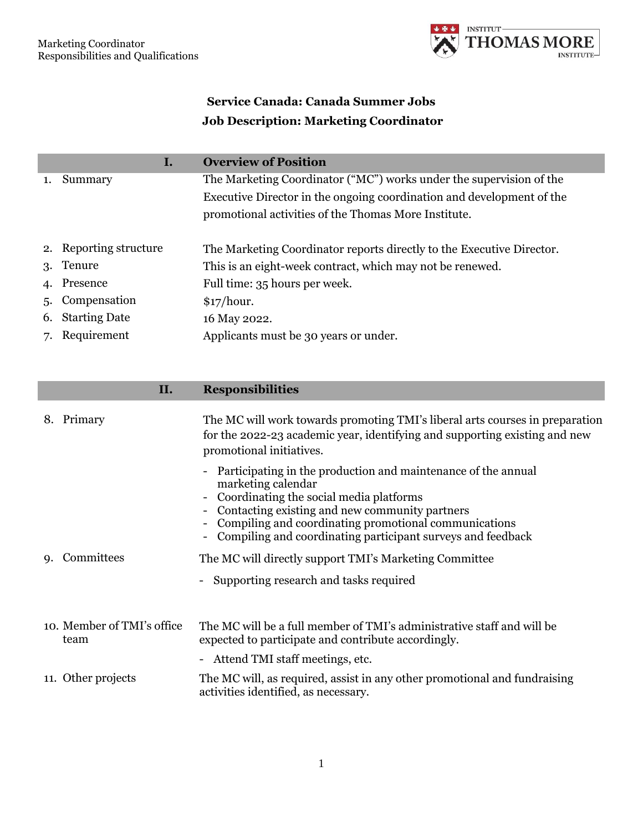

## **Service Canada: Canada Summer Jobs Job Description: Marketing Coordinator**

|    | Ι.                     | <b>Overview of Position</b>                                           |
|----|------------------------|-----------------------------------------------------------------------|
|    | Summary                | The Marketing Coordinator ("MC") works under the supervision of the   |
|    |                        | Executive Director in the ongoing coordination and development of the |
|    |                        | promotional activities of the Thomas More Institute.                  |
|    | 2. Reporting structure | The Marketing Coordinator reports directly to the Executive Director. |
|    | 3. Tenure              | This is an eight-week contract, which may not be renewed.             |
|    | 4. Presence            | Full time: 35 hours per week.                                         |
|    | 5. Compensation        | \$17/hour.                                                            |
| 6. | <b>Starting Date</b>   | 16 May 2022.                                                          |
|    | 7. Requirement         | Applicants must be 30 years or under.                                 |

## **II. Responsibilities**

|    | 8. Primary                         | The MC will work towards promoting TMI's liberal arts courses in preparation<br>for the 2022-23 academic year, identifying and supporting existing and new<br>promotional initiatives.                                                                                                                                               |
|----|------------------------------------|--------------------------------------------------------------------------------------------------------------------------------------------------------------------------------------------------------------------------------------------------------------------------------------------------------------------------------------|
|    |                                    | Participating in the production and maintenance of the annual<br>marketing calendar<br>Coordinating the social media platforms<br>$\overline{\phantom{0}}$<br>Contacting existing and new community partners<br>Compiling and coordinating promotional communications<br>Compiling and coordinating participant surveys and feedback |
| 9. | Committees                         | The MC will directly support TMI's Marketing Committee                                                                                                                                                                                                                                                                               |
|    |                                    | - Supporting research and tasks required                                                                                                                                                                                                                                                                                             |
|    |                                    |                                                                                                                                                                                                                                                                                                                                      |
|    | 10. Member of TMI's office<br>team | The MC will be a full member of TMI's administrative staff and will be<br>expected to participate and contribute accordingly.                                                                                                                                                                                                        |
|    |                                    | - Attend TMI staff meetings, etc.                                                                                                                                                                                                                                                                                                    |
|    | 11. Other projects                 | The MC will, as required, assist in any other promotional and fundraising<br>activities identified, as necessary.                                                                                                                                                                                                                    |